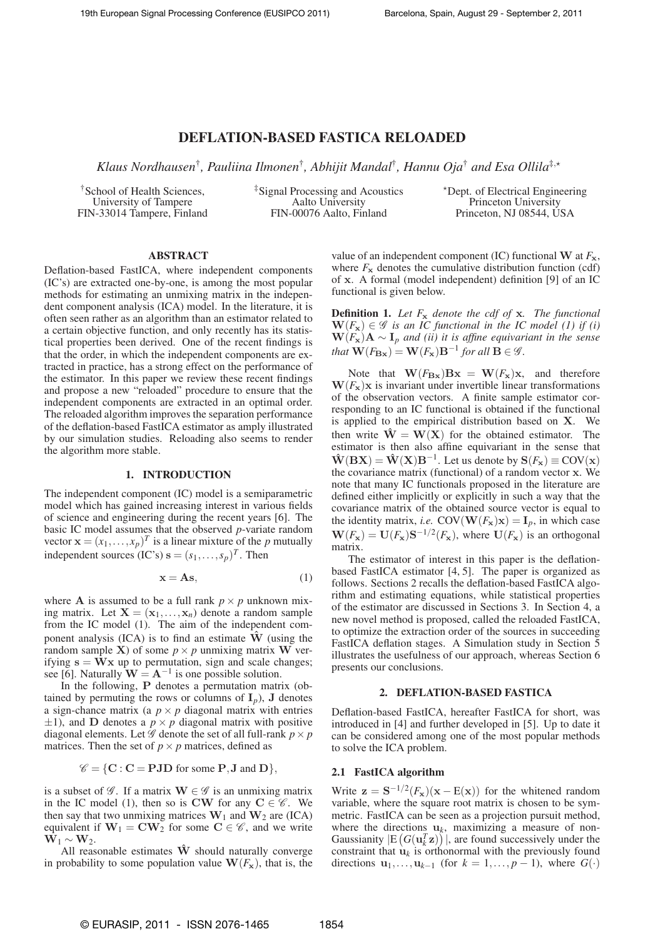# DEFLATION-BASED FASTICA RELOADED

*Klaus Nordhausen*† *, Pauliina Ilmonen*† *, Abhijit Mandal*† *, Hannu Oja*† *and Esa Ollila*‡,⋆

†School of Health Sciences, University of Tampere FIN-33014 Tampere, Finland ‡Signal Processing and Acoustics Aalto University FIN-00076 Aalto, Finland

<sup>⋆</sup>Dept. of Electrical Engineering Princeton University Princeton, NJ 08544, USA

### ABSTRACT

Deflation-based FastICA, where independent components (IC's) are extracted one-by-one, is among the most popular methods for estimating an unmixing matrix in the independent component analysis (ICA) model. In the literature, it is often seen rather as an algorithm than an estimator related to a certain objective function, and only recently has its statistical properties been derived. One of the recent findings is that the order, in which the independent components are extracted in practice, has a strong effect on the performance of the estimator. In this paper we review these recent findings and propose a new "reloaded" procedure to ensure that the independent components are extracted in an optimal order. The reloaded algorithm improves the separation performance of the deflation-based FastICA estimator as amply illustrated by our simulation studies. Reloading also seems to render the algorithm more stable.

#### 1. INTRODUCTION

The independent component (IC) model is a semiparametric model which has gained increasing interest in various fields of science and engineering during the recent years [6]. The basic IC model assumes that the observed *p*-variate random vector  $\mathbf{x} = (x_1, \dots, x_p)^T$  is a linear mixture of the *p* mutually independent sources (IC's)  $\mathbf{s} = (s_1, \dots, s_p)^T$ . Then

$$
\mathbf{x} = \mathbf{A}\mathbf{s},\tag{1}
$$

where **A** is assumed to be a full rank  $p \times p$  unknown mixing matrix. Let  $X = (x_1, \ldots, x_n)$  denote a random sample from the IC model (1). The aim of the independent component analysis (ICA) is to find an estimate  $\hat{W}$  (using the random sample **X**) of some  $p \times p$  unmixing matrix **W** verifying  $s = \bar{W}x$  up to permutation, sign and scale changes; see [6]. Naturally  $\mathbf{W} = \mathbf{A}^{-1}$  is one possible solution.

In the following, P denotes a permutation matrix (obtained by permuting the rows or columns of  $I_p$ ), J denotes a sign-chance matrix (a  $p \times p$  diagonal matrix with entries  $\pm$ 1), and **D** denotes a  $p \times p$  diagonal matrix with positive diagonal elements. Let  $\mathscr G$  denote the set of all full-rank  $p \times p$ matrices. Then the set of  $p \times p$  matrices, defined as

$$
\mathscr{C} = \{ \mathbf{C} : \mathbf{C} = \mathbf{PJD} \text{ for some } \mathbf{P}, \mathbf{J} \text{ and } \mathbf{D} \},
$$

is a subset of  $\mathscr{G}$ . If a matrix  $\mathbf{W} \in \mathscr{G}$  is an unmixing matrix in the IC model (1), then so is CW for any  $C \in \mathscr{C}$ . We then say that two unmixing matrices  $W_1$  and  $W_2$  are (ICA) equivalent if  $W_1 = CW_2$  for some  $C \in \mathscr{C}$ , and we write  $W_1 \sim W_2$ .

All reasonable estimates  $\hat{W}$  should naturally converge in probability to some population value  $\mathbf{W}(F_{\mathbf{x}})$ , that is, the value of an independent component (IC) functional W at  $F_x$ , where  $F_x$  denotes the cumulative distribution function (cdf) of x. A formal (model independent) definition [9] of an IC functional is given below.

Definition 1. *Let F*<sup>x</sup> *denote the cdf of* x*. The functional*  $\mathbf{W}(F_{\mathbf{x}}) \in \mathscr{G}$  *is an IC functional in the IC model (1) if (i)*  $W(F_x)A \sim I_p$  *and (ii) it is affine equivariant in the sense that*  $\mathbf{W}(F_{\mathbf{B}\mathbf{x}}) = \mathbf{W}(F_{\mathbf{x}})\mathbf{B}^{-1}$  *for all*  $\mathbf{B} \in \mathscr{G}$ *.* 

Note that  $\mathbf{W}(F_{\mathbf{Bx}})\mathbf{Bx} = \mathbf{W}(F_{\mathbf{x}})\mathbf{x}$ , and therefore  $W(F_x)x$  is invariant under invertible linear transformations of the observation vectors. A finite sample estimator corresponding to an IC functional is obtained if the functional is applied to the empirical distribution based on X. We then write  $\hat{W} = W(X)$  for the obtained estimator. The estimator is then also affine equivariant in the sense that  $\hat{\mathbf{W}}(\mathbf{B}\mathbf{X}) = \hat{\mathbf{W}}(\mathbf{X})\mathbf{B}^{-1}$ . Let us denote by  $\mathbf{S}(F_{\mathbf{x}}) \equiv \text{COV}(\mathbf{x})$ the covariance matrix (functional) of a random vector x. We note that many IC functionals proposed in the literature are defined either implicitly or explicitly in such a way that the covariance matrix of the obtained source vector is equal to the identity matrix, *i.e.* COV( $\mathbf{W}(F_{\mathbf{x}})\mathbf{x}$ ) =  $\mathbf{I}_p$ , in which case  $\mathbf{W}(F_{\mathbf{x}}) = \mathbf{U}(F_{\mathbf{x}}) \mathbf{S}^{-1/2}(F_{\mathbf{x}})$ , where  $\mathbf{U}(F_{\mathbf{x}})$  is an orthogonal matrix.

The estimator of interest in this paper is the deflationbased FastICA estimator [4, 5]. The paper is organized as follows. Sections 2 recalls the deflation-based FastICA algorithm and estimating equations, while statistical properties of the estimator are discussed in Sections 3. In Section 4, a new novel method is proposed, called the reloaded FastICA, to optimize the extraction order of the sources in succeeding FastICA deflation stages. A Simulation study in Section 5 illustrates the usefulness of our approach, whereas Section 6 presents our conclusions.

#### 2. DEFLATION-BASED FASTICA

Deflation-based FastICA, hereafter FastICA for short, was introduced in [4] and further developed in [5]. Up to date it can be considered among one of the most popular methods to solve the ICA problem.

## 2.1 FastICA algorithm

Write  $z = S^{-1/2}(F_x)(x - E(x))$  for the whitened random variable, where the square root matrix is chosen to be symmetric. FastICA can be seen as a projection pursuit method, where the directions  $\mathbf{u}_k$ , maximizing a measure of non-Gaussianity  $|E(G(\mathbf{u}_k^T \mathbf{z}))|$ , are found successively under the constraint that  $\mathbf{u}_k$  is orthonormal with the previously found directions  $\mathbf{u}_1, \ldots, \mathbf{u}_{k-1}$  (for  $k = 1, \ldots, p-1$ ), where  $G(\cdot)$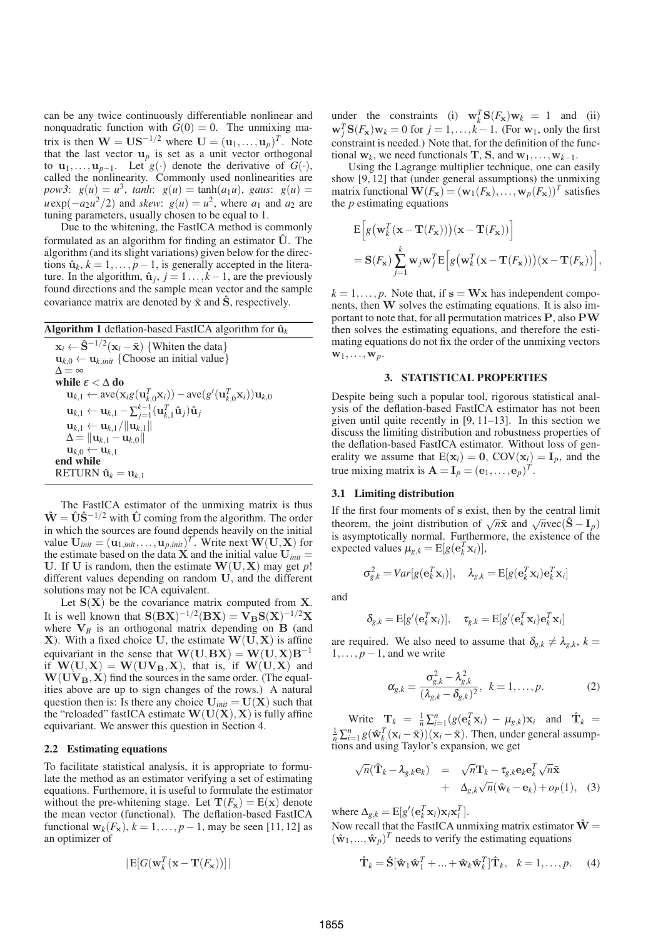can be any twice continuously differentiable nonlinear and nonquadratic function with  $G(0) = 0$ . The unmixing matrix is then  $\mathbf{W} = \mathbf{U}\mathbf{S}^{-1/2}$  where  $\mathbf{U} = (\mathbf{u}_1, \dots, \mathbf{u}_p)^T$ . Note that the last vector  $\mathbf{u}_p$  is set as a unit vector orthogonal to  $\mathbf{u}_1, \ldots, \mathbf{u}_{p-1}$ . Let  $g(\cdot)$  denote the derivative of  $G(\cdot)$ , called the nonlinearity. Commonly used nonlinearities are *pow3*:  $g(u) = u^3$ , *tanh*:  $g(u) = \tanh(a_1u)$ , *gaus*:  $g(u) =$  $u \exp(-a_2 u^2/2)$  and *skew*:  $g(u) = u^2$ , where  $a_1$  and  $a_2$  are tuning parameters, usually chosen to be equal to 1.

Due to the whitening, the FastICA method is commonly formulated as an algorithm for finding an estimator  $\hat{U}$ . The algorithm (and its slight variations) given below for the directions  $\hat{\mathbf{u}}_k$ ,  $k = 1, ..., p-1$ , is generally accepted in the literature. In the algorithm,  $\hat{u}_j$ ,  $j = 1...$ ,  $k - 1$ , are the previously found directions and the sample mean vector and the sample covariance matrix are denoted by  $\bar{x}$  and  $\hat{S}$ , respectively.

|  | <b>Algorithm 1</b> deflation-based FastICA algorithm for $\hat{\mathbf{u}}_k$ |  |  |  |  |
|--|-------------------------------------------------------------------------------|--|--|--|--|
|--|-------------------------------------------------------------------------------|--|--|--|--|

 $\mathbf{x}_i \leftarrow \hat{\mathbf{S}}^{-1/2} (\mathbf{x}_i - \bar{\mathbf{x}})$  {Whiten the data}  $\mathbf{u}_{k,0} \leftarrow \mathbf{u}_{k,init}$  {Choose an initial value}  $\Delta = \infty$ while  $\mathop{\varepsilon}<\Delta\mathop{\bf do}$  $\mathbf{u}_{k,1} \leftarrow \text{ave}(\mathbf{x}_i g(\mathbf{u}_{k,0}^T \mathbf{x}_i)) - \text{ave}(g'(\mathbf{u}_{k,0}^T \mathbf{x}_i)) \mathbf{u}_{k,0}$  $\mathbf{u}_{k,1} \leftarrow \mathbf{u}_{k,1} - \sum_{j=1}^{k-1} (\mathbf{u}_{k,1}^T \hat{\mathbf{u}}_j) \hat{\mathbf{u}}_j$  $\mathbf{u}_{k,1} \leftarrow \mathbf{u}_{k,1}/\|\mathbf{u}_{k,1}\|$  $\Delta = ||\mathbf{u}_{k,1} - \mathbf{u}_{k,0}||$  $\mathbf{u}_{k,0} \leftarrow \mathbf{u}_{k,1}$ end while  $RETURN \hat{u}_k = u_{k,1}$ 

The FastICA estimator of the unmixing matrix is thus  $\hat{\mathbf{W}} = \hat{\mathbf{U}} \hat{\mathbf{S}}^{-1/2}$  with  $\hat{\mathbf{U}}$  coming from the algorithm. The order in which the sources are found depends heavily on the initial value  $\mathbf{U}_{init} = (\mathbf{u}_{1,init}, \dots, \mathbf{u}_{p,init})^T$ . Write next  $\mathbf{W}(\mathbf{U}, \mathbf{X})$  for the estimate based on the data  $\overline{X}$  and the initial value  $U_{init}$  = U. If U is random, then the estimate  $W(U, X)$  may get p! different values depending on random U, and the different solutions may not be ICA equivalent.

Let  $S(X)$  be the covariance matrix computed from X. It is well known that  $S(BX)^{-1/2}(BX) = V_B S(X)^{-1/2}X$ where  $V_B$  is an orthogonal matrix depending on  $B$  (and X). With a fixed choice U, the estimate  $W(U, X)$  is affine equivariant in the sense that  $W(U, BX) = W(U, X)B^{-1}$ if  $W(U, X) = W(UV_B, X)$ , that is, if  $W(U, X)$  and  $W(UV_B, X)$  find the sources in the same order. (The equalities above are up to sign changes of the rows.) A natural question then is: Is there any choice  $U_{init} = U(X)$  such that the "reloaded" fastICA estimate  $W(U(X), X)$  is fully affine equivariant. We answer this question in Section 4.

#### 2.2 Estimating equations

To facilitate statistical analysis, it is appropriate to formulate the method as an estimator verifying a set of estimating equations. Furthemore, it is useful to formulate the estimator without the pre-whitening stage. Let  $T(F_x) = E(x)$  denote the mean vector (functional). The deflation-based FastICA functional  $\mathbf{w}_k(F_{\mathbf{x}}), k = 1, \ldots, p-1$ , may be seen [11, 12] as an optimizer of

$$
\big|\mathrm{E}[G(\mathbf{w}_k^T(\mathbf{x}-\mathbf{T}(F_{\mathbf{x}}))]\big|
$$

under the constraints (i)  $\mathbf{w}_k^T \mathbf{S}(F_\mathbf{x}) \mathbf{w}_k = 1$  and (ii)  $\mathbf{w}_j^T \mathbf{S}(F_\mathbf{x}) \mathbf{w}_k = 0$  for  $j = 1, \ldots, k - 1$ . (For  $\mathbf{w}_1$ , only the first constraint is needed.) Note that, for the definition of the functional  $\mathbf{w}_k$ , we need functionals **T**, **S**, and  $\mathbf{w}_1, \dots, \mathbf{w}_{k-1}$ .

Using the Lagrange multiplier technique, one can easily show [9, 12] that (under general assumptions) the unmixing matrix functional  $\mathbf{W}(F_{\mathbf{x}}) = (\mathbf{w}_1(F_{\mathbf{x}}), \dots, \mathbf{w}_p(F_{\mathbf{x}}))^T$  satisfies the *p* estimating equations

$$
\begin{aligned} & \mathbf{E}\Big[g\big(\mathbf{w}_k^T(\mathbf{x}-\mathbf{T}(F_{\mathbf{x}}))\big)(\mathbf{x}-\mathbf{T}(F_{\mathbf{x}}))\Big] \\ &= \mathbf{S}(F_{\mathbf{x}})\sum_{j=1}^k \mathbf{w}_j \mathbf{w}_j^T \mathbf{E}\Big[g\big(\mathbf{w}_k^T(\mathbf{x}-\mathbf{T}(F_{\mathbf{x}}))\big)(\mathbf{x}-\mathbf{T}(F_{\mathbf{x}}))\Big], \end{aligned}
$$

 $k = 1, \ldots, p$ . Note that, if  $s = Wx$  has independent components, then W solves the estimating equations. It is also important to note that, for all permutation matrices P, also PW then solves the estimating equations, and therefore the estimating equations do not fix the order of the unmixing vectors  $\mathbf{w}_1,\ldots,\mathbf{w}_p$ .

### 3. STATISTICAL PROPERTIES

Despite being such a popular tool, rigorous statistical analysis of the deflation-based FastICA estimator has not been given until quite recently in [9, 11–13]. In this section we discuss the limiting distribution and robustness properties of the deflation-based FastICA estimator. Without loss of generality we assume that  $E(\mathbf{x}_i) = 0$ ,  $COV(\mathbf{x}_i) = I_p$ , and the true mixing matrix is  $\mathbf{A} = \mathbf{I}_p = (\mathbf{e}_1, \dots, \mathbf{e}_p)^T$ .

### 3.1 Limiting distribution

If the first four moments of s exist, then by the central limit theorem, the joint distribution of  $\sqrt{n}\bar{x}$  and  $\sqrt{n}$ vec( $\hat{S} - I_p$ ) is asymptotically normal. Furthermore, the existence of the expected values  $\mu_{g,k} = \mathbb{E}[g(\mathbf{e}_k^T \mathbf{x}_i)],$ 

$$
\sigma_{g,k}^2 = Var[g(\mathbf{e}_k^T \mathbf{x}_i)], \quad \lambda_{g,k} = \mathrm{E}[g(\mathbf{e}_k^T \mathbf{x}_i)\mathbf{e}_k^T \mathbf{x}_i]
$$

and

$$
\delta_{g,k} = \mathrm{E}[g'(\mathbf{e}_k^T \mathbf{x}_i)], \quad \tau_{g,k} = \mathrm{E}[g'(\mathbf{e}_k^T \mathbf{x}_i)\mathbf{e}_k^T \mathbf{x}_i]
$$

are required. We also need to assume that  $\delta_{g,k} \neq \lambda_{g,k}$ ,  $k =$ 1,..., *p*−1, and we write

$$
\alpha_{g,k} = \frac{\sigma_{g,k}^2 - \lambda_{g,k}^2}{(\lambda_{g,k} - \delta_{g,k})^2}, \ \ k = 1, \dots, p. \tag{2}
$$

]

Write  $\mathbf{T}_k = \frac{1}{n} \sum_{i=1}^n (g(\mathbf{e}_k^T \mathbf{x}_i) - \mu_{g,k}) \mathbf{x}_i$  and  $\mathbf{\hat{T}}_k =$  $\frac{1}{n} \sum_{i=1}^{n} g(\hat{\mathbf{w}}_k^T(\mathbf{x}_i - \bar{\mathbf{x}}))(\mathbf{x}_i - \bar{\mathbf{x}})$ . Then, under general assumptions and using Taylor's expansion, we get

$$
\sqrt{n}(\hat{\mathbf{T}}_k - \lambda_{g,k} \mathbf{e}_k) = \sqrt{n} \mathbf{T}_k - \tau_{g,k} \mathbf{e}_k \mathbf{e}_k^T \sqrt{n} \bar{\mathbf{x}} \n+ \Delta_{g,k} \sqrt{n} (\hat{\mathbf{w}}_k - \mathbf{e}_k) + o_P(1),
$$
 (3)

where  $\Delta_{g,k} = \mathrm{E}[g'(\mathbf{e}_k^T \mathbf{x}_i) \mathbf{x}_i \mathbf{x}_i^T].$ 

Now recall that the FastICA unmixing matrix estimator  $\hat{W}$  =  $(\hat{\mathbf{w}}_1, ..., \hat{\mathbf{w}}_p)^T$  needs to verify the estimating equations

$$
\hat{\mathbf{T}}_k = \hat{\mathbf{S}}[\hat{\mathbf{w}}_1 \hat{\mathbf{w}}_1^T + \dots + \hat{\mathbf{w}}_k \hat{\mathbf{w}}_k^T] \hat{\mathbf{T}}_k, \quad k = 1, \dots, p. \tag{4}
$$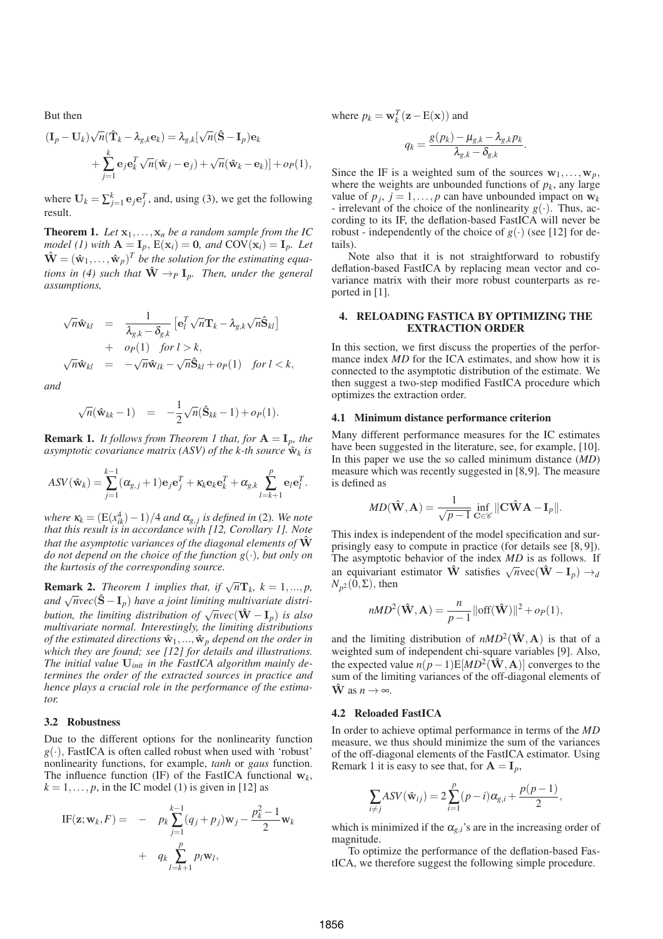But then

$$
(\mathbf{I}_p - \mathbf{U}_k) \sqrt{n} (\hat{\mathbf{T}}_k - \lambda_{g,k} \mathbf{e}_k) = \lambda_{g,k} [\sqrt{n} (\hat{\mathbf{S}} - \mathbf{I}_p) \mathbf{e}_k + \sum_{j=1}^k \mathbf{e}_j \mathbf{e}_k^T \sqrt{n} (\hat{\mathbf{w}}_j - \mathbf{e}_j) + \sqrt{n} (\hat{\mathbf{w}}_k - \mathbf{e}_k)] + o_P(1),
$$

where  $U_k = \sum_{j=1}^k e_j e_j^T$ , and, using (3), we get the following result.

**Theorem 1.** Let  $x_1, \ldots, x_n$  be a random sample from the IC *model* (1) with  $\mathbf{A} = \mathbf{I}_p$ ,  $\mathbf{E}(\mathbf{x}_i) = \mathbf{0}$ , and  $\mathbf{COV}(\mathbf{x}_i) = \mathbf{I}_p$ . Let  $\hat{\mathbf{W}} = (\hat{\mathbf{w}}_1, \dots, \hat{\mathbf{w}}_p)^T$  be the solution for the estimating equa*tions in (4) such that*  $\hat{W} \rightarrow_{P} I_{p}$ *. Then, under the general assumptions,*

$$
\begin{array}{rcl}\n\sqrt{n}\hat{\mathbf{w}}_{kl} & = & \frac{1}{\lambda_{g,k} - \delta_{g,k}} \left[ \mathbf{e}_l^T \sqrt{n} \mathbf{T}_k - \lambda_{g,k} \sqrt{n} \hat{\mathbf{S}}_{kl} \right] \\
& + & o_P(1) \quad \text{for } l > k, \\
\sqrt{n}\hat{\mathbf{w}}_{kl} & = & -\sqrt{n} \hat{\mathbf{w}}_{lk} - \sqrt{n} \hat{\mathbf{S}}_{kl} + o_P(1) \quad \text{for } l < k,\n\end{array}
$$

*and*

√

$$
\sqrt{n}(\hat{\mathbf{w}}_{kk}-1) = -\frac{1}{2}\sqrt{n}(\hat{\mathbf{S}}_{kk}-1) + o_P(1).
$$

**Remark 1.** *It follows from Theorem 1 that, for*  $A = I_p$ *, the* asymptotic covariance matrix (ASV) of the k-th source  $\hat{\mathbf{w}}_k$  is

$$
ASV(\hat{\mathbf{w}}_k) = \sum_{j=1}^{k-1} (\alpha_{g,j} + 1)\mathbf{e}_j \mathbf{e}_j^T + \kappa_k \mathbf{e}_k \mathbf{e}_k^T + \alpha_{g,k} \sum_{l=k+1}^p \mathbf{e}_l \mathbf{e}_l^T.
$$

*where*  $\kappa_k = (E(x_{ik}^4) - 1)/4$  *and*  $\alpha_{g,j}$  *is defined in* (2)*. We note that this result is in accordance with [12, Corollary 1]. Note that the asymptotic variances of the diagonal elements of*  $\hat{W}$ *do not depend on the choice of the function g*(·)*, but only on the kurtosis of the corresponding source.*

**Remark 2.** *Theorem 1 implies that, if*  $\sqrt{n}\mathbf{T}_k$ ,  $k = 1,...,p$ , and  $\sqrt{n}vec(\{\hat{S}-I_p})$  have a joint limiting multivariate distri*bution, the limiting distribution of*  $\sqrt{n}$ *vec*( $\hat{W} - I_p$ ) *is also multivariate normal. Interestingly, the limiting distributions of the estimated directions*  $\hat{\mathbf{w}}_1, ..., \hat{\mathbf{w}}_p$  *depend on the order in which they are found; see [12] for details and illustrations. The initial value* U*init in the FastICA algorithm mainly determines the order of the extracted sources in practice and hence plays a crucial role in the performance of the estimator.*

### 3.2 Robustness

Due to the different options for the nonlinearity function  $g(\cdot)$ , FastICA is often called robust when used with 'robust' nonlinearity functions, for example, *tanh* or *gaus* function. The influence function (IF) of the FastICA functional  $w_k$ ,  $k = 1, \ldots, p$ , in the IC model (1) is given in [12] as

IF(
$$
\mathbf{z}; \mathbf{w}_k, F
$$
) = 
$$
- p_k \sum_{j=1}^{k-1} (q_j + p_j) \mathbf{w}_j - \frac{p_k^2 - 1}{2} \mathbf{w}_k + q_k \sum_{l=k+1}^p p_l \mathbf{w}_l,
$$

where  $p_k = \mathbf{w}_k^T (\mathbf{z} - \mathbf{E}(\mathbf{x}))$  and

$$
q_k = \frac{g(p_k) - \mu_{g,k} - \lambda_{g,k} p_k}{\lambda_{g,k} - \delta_{g,k}}.
$$

Since the IF is a weighted sum of the sources  $w_1, \ldots, w_p$ , where the weights are unbounded functions of  $p_k$ , any large value of  $p_j$ ,  $j = 1, ..., p$  can have unbounded impact on  $\mathbf{w}_k$ - irrelevant of the choice of the nonlinearity  $g(\cdot)$ . Thus, according to its IF, the deflation-based FastICA will never be robust - independently of the choice of  $g(\cdot)$  (see [12] for details).

Note also that it is not straightforward to robustify deflation-based FastICA by replacing mean vector and covariance matrix with their more robust counterparts as reported in [1].

### 4. RELOADING FASTICA BY OPTIMIZING THE EXTRACTION ORDER

In this section, we first discuss the properties of the performance index *MD* for the ICA estimates, and show how it is connected to the asymptotic distribution of the estimate. We then suggest a two-step modified FastICA procedure which optimizes the extraction order.

#### 4.1 Minimum distance performance criterion

Many different performance measures for the IC estimates have been suggested in the literature, see, for example, [10]. In this paper we use the so called minimum distance (*MD*) measure which was recently suggested in [8,9]. The measure is defined as

$$
MD(\hat{\mathbf{W}}, \mathbf{A}) = \frac{1}{\sqrt{p-1}} \inf_{\mathbf{C} \in \mathscr{C}} ||\mathbf{C}\hat{\mathbf{W}}\mathbf{A} - \mathbf{I}_p||.
$$

This index is independent of the model specification and surprisingly easy to compute in practice (for details see [8, 9]). The asymptotic behavior of the index *MD* is as follows. If an equivariant estimator  $\hat{\mathbf{W}}$  satisfies  $\sqrt{n}$ vec $(\hat{\mathbf{W}} - \mathbf{I}_p) \rightarrow_d$  $N_{p^2}(\overline{0}, \Sigma)$ , then

$$
nMD^{2}(\hat{\mathbf{W}}, \mathbf{A}) = \frac{n}{p-1} ||\text{off}(\hat{\mathbf{W}})||^{2} + o_{P}(1),
$$

and the limiting distribution of  $nMD^2(\hat{W}, A)$  is that of a weighted sum of independent chi-square variables [9]. Also, the expected value  $n(p-1)E[MD^{2}(\hat{\mathbf{W}}, \mathbf{A})]$  converges to the sum of the limiting variances of the off-diagonal elements of  $\hat{\mathbf{W}}$  as  $n \to \infty$ .

#### 4.2 Reloaded FastICA

In order to achieve optimal performance in terms of the *MD* measure, we thus should minimize the sum of the variances of the off-diagonal elements of the FastICA estimator. Using Remark 1 it is easy to see that, for  $A = I_p$ ,

$$
\sum_{i \neq j} ASV(\hat{\mathbf{w}}_{ij}) = 2\sum_{i=1}^{p} (p-i)\alpha_{g,i} + \frac{p(p-1)}{2},
$$

which is minimized if the  $\alpha_{g,i}$ 's are in the increasing order of magnitude.

To optimize the performance of the deflation-based FastICA, we therefore suggest the following simple procedure.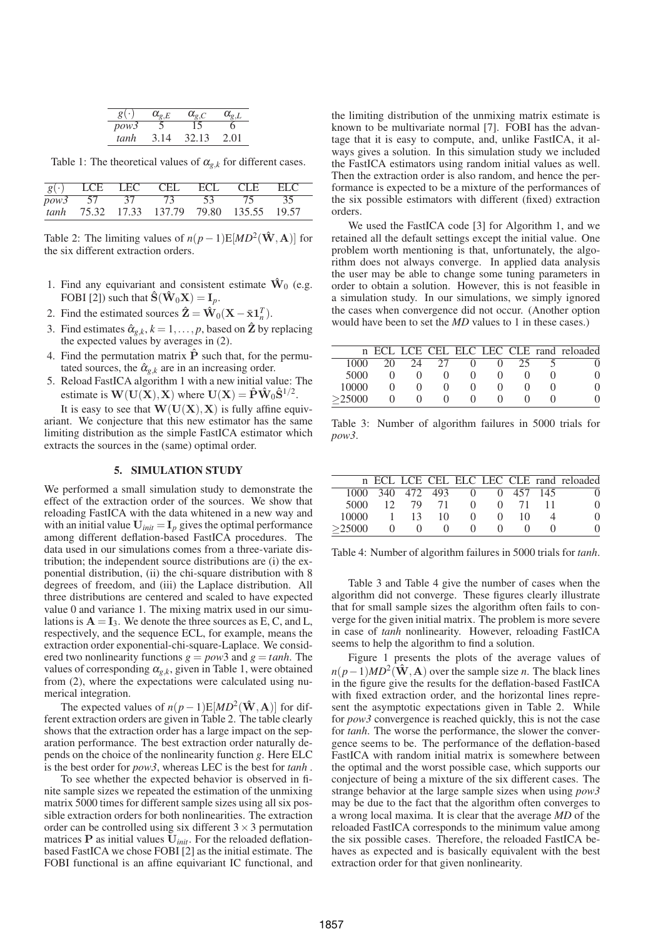| g(·  | $\alpha_{e,E}$ | $\alpha_{\scriptscriptstyle e.C}$ |      |
|------|----------------|-----------------------------------|------|
| pow3 |                | ר ו                               | n    |
| tanh | 3 14           | 32.13                             | 2.01 |

Table 1: The theoretical values of  $\alpha_{g,k}$  for different cases.

|  |                                   |       | $g(\cdot)$ LCE LEC CEL ECL CLE ELC         |    |  |
|--|-----------------------------------|-------|--------------------------------------------|----|--|
|  | $pow3 \quad 57 \quad 37 \quad 73$ | 53 75 |                                            | 35 |  |
|  |                                   |       | tanh 75.32 17.33 137.79 79.80 135.55 19.57 |    |  |

Table 2: The limiting values of  $n(p-1)E[MD^2(\hat{W}, A)]$  for the six different extraction orders.

- 1. Find any equivariant and consistent estimate  $\hat{W}_0$  (e.g. FOBI [2]) such that  $\hat{\mathbf{S}}(\hat{\mathbf{W}}_0\mathbf{X}) = \mathbf{I}_p$ .
- 2. Find the estimated sources  $\hat{\mathbf{Z}} = \hat{\mathbf{W}}_0(\mathbf{X} \bar{\mathbf{x}} \mathbf{1}_n^T)$ .
- 3. Find estimates  $\hat{\alpha}_{g,k}$ ,  $k = 1, \ldots, p$ , based on  $\hat{\mathbf{Z}}$  by replacing the expected values by averages in (2).
- 4. Find the permutation matrix  $\hat{P}$  such that, for the permutated sources, the  $\hat{\alpha}_{g,k}$  are in an increasing order.
- 5. Reload FastICA algorithm 1 with a new initial value: The estimate is  $\mathbf{W}(\mathbf{U}(\mathbf{X}), \mathbf{X})$  where  $\mathbf{U}(\mathbf{X}) = \mathbf{\hat{P}} \mathbf{\hat{W}}_0 \mathbf{\hat{S}}^{1/2}$ .

It is easy to see that  $W(U(X), X)$  is fully affine equivariant. We conjecture that this new estimator has the same limiting distribution as the simple FastICA estimator which extracts the sources in the (same) optimal order.

# 5. SIMULATION STUDY

We performed a small simulation study to demonstrate the effect of the extraction order of the sources. We show that reloading FastICA with the data whitened in a new way and with an initial value  $U_{init} = I_p$  gives the optimal performance among different deflation-based FastICA procedures. The data used in our simulations comes from a three-variate distribution; the independent source distributions are (i) the exponential distribution, (ii) the chi-square distribution with 8 degrees of freedom, and (iii) the Laplace distribution. All three distributions are centered and scaled to have expected value 0 and variance 1. The mixing matrix used in our simulations is  $A = I_3$ . We denote the three sources as E, C, and L, respectively, and the sequence ECL, for example, means the extraction order exponential-chi-square-Laplace. We considered two nonlinearity functions  $g = pow3$  and  $g = tanh$ . The values of corresponding  $\alpha_{g,k}$ , given in Table 1, were obtained from (2), where the expectations were calculated using numerical integration.

The expected values of  $n(p-1)E[MD^2(\mathbf{\hat{W}}, \mathbf{A})]$  for different extraction orders are given in Table 2. The table clearly shows that the extraction order has a large impact on the separation performance. The best extraction order naturally depends on the choice of the nonlinearity function *g*. Here ELC is the best order for *pow3*, whereas LEC is the best for *tanh* .

To see whether the expected behavior is observed in finite sample sizes we repeated the estimation of the unmixing matrix 5000 times for different sample sizes using all six possible extraction orders for both nonlinearities. The extraction order can be controlled using six different  $3 \times 3$  permutation matrices P as initial values U*init*. For the reloaded deflationbased FastICA we chose FOBI [2] as the initial estimate. The FOBI functional is an affine equivariant IC functional, and the limiting distribution of the unmixing matrix estimate is known to be multivariate normal [7]. FOBI has the advantage that it is easy to compute, and, unlike FastICA, it always gives a solution. In this simulation study we included the FastICA estimators using random initial values as well. Then the extraction order is also random, and hence the performance is expected to be a mixture of the performances of the six possible estimators with different (fixed) extraction orders.

We used the FastICA code [3] for Algorithm 1, and we retained all the default settings except the initial value. One problem worth mentioning is that, unfortunately, the algorithm does not always converge. In applied data analysis the user may be able to change some tuning parameters in order to obtain a solution. However, this is not feasible in a simulation study. In our simulations, we simply ignored the cases when convergence did not occur. (Another option would have been to set the *MD* values to 1 in these cases.)

|        |    |    |      |  |        | n ECL LCE CEL ELC LEC CLE rand reloaded |
|--------|----|----|------|--|--------|-----------------------------------------|
| 1000   | 20 |    | - 27 |  |        |                                         |
|        |    | 24 |      |  | $25 -$ |                                         |
| 5000   |    |    |      |  |        | $\Omega$                                |
| 10000  |    |    |      |  |        | $\Omega$                                |
| >25000 |    |    |      |  |        |                                         |

Table 3: Number of algorithm failures in 5000 trials for *pow3*.

|        |                 |                  |    |                   |          |             | n ECL LCE CEL ELC LEC CLE rand reloaded |
|--------|-----------------|------------------|----|-------------------|----------|-------------|-----------------------------------------|
|        |                 | 1000 340 472 493 |    | $\Omega$          |          | 0, 457, 145 |                                         |
| 5000   | 12 <sup>1</sup> | 79               | 71 | $\mathbf{\Omega}$ | $\Omega$ | 71          | 0                                       |
| 10000  |                 | 13.              | 10 |                   |          | 10          | 0                                       |
| >25000 |                 |                  |    | $\mathbf{O}$      |          |             | $\Omega$                                |

Table 4: Number of algorithm failures in 5000 trials for *tanh*.

Table 3 and Table 4 give the number of cases when the algorithm did not converge. These figures clearly illustrate that for small sample sizes the algorithm often fails to converge for the given initial matrix. The problem is more severe in case of *tanh* nonlinearity. However, reloading FastICA seems to help the algorithm to find a solution.

Figure 1 presents the plots of the average values of  $n(p-1)MD^2(\hat{\mathbf{W}}, \mathbf{A})$  over the sample size *n*. The black lines in the figure give the results for the deflation-based FastICA with fixed extraction order, and the horizontal lines represent the asymptotic expectations given in Table 2. While for *pow3* convergence is reached quickly, this is not the case for *tanh*. The worse the performance, the slower the convergence seems to be. The performance of the deflation-based FastICA with random initial matrix is somewhere between the optimal and the worst possible case, which supports our conjecture of being a mixture of the six different cases. The strange behavior at the large sample sizes when using *pow3* may be due to the fact that the algorithm often converges to a wrong local maxima. It is clear that the average *MD* of the reloaded FastICA corresponds to the minimum value among the six possible cases. Therefore, the reloaded FastICA behaves as expected and is basically equivalent with the best extraction order for that given nonlinearity.